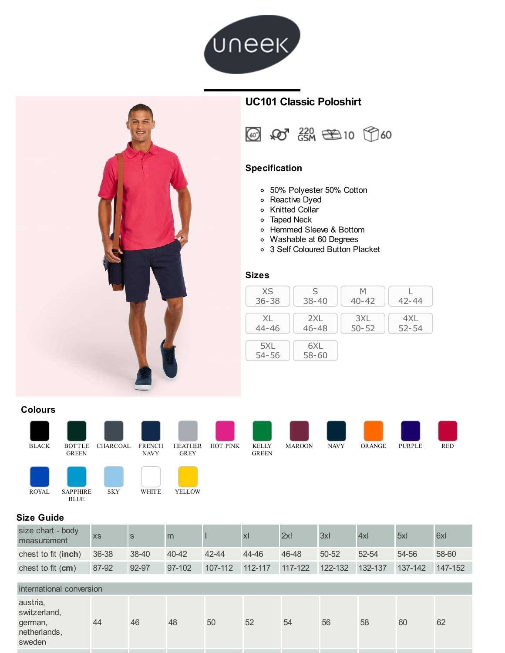





## **Specification**

- 50% Polyester 50% Cotton
- Reactive Dyed
- Knitted Collar
- o Taped Neck
- Hemmed Sleeve & Bottom
- Washable at 60 Degrees
- 3 Self Coloured Button Placket

**Sizes**

| XS               | S                | М         | $42 - 44$ |
|------------------|------------------|-----------|-----------|
| $36 - 38$        | $38 - 40$        | $40 - 42$ |           |
| XL               | 2XL              | 3XL       | 4XL       |
| $44 - 46$        | $46 - 48$        | $50 - 52$ | $52 - 54$ |
| 5XL<br>$54 - 56$ | 6XL<br>$58 - 60$ |           |           |



## **Colours**



GREEN

ROYAL SAPPHIRE

BLUE





NAVY



GREY







**Size Guide**

| size chart - body<br>measurement | <b>XS</b> | <sub>S</sub> | m         |           | XI      | 2x          | 3x        | 4x1       | 5x        | 6xl     |
|----------------------------------|-----------|--------------|-----------|-----------|---------|-------------|-----------|-----------|-----------|---------|
| chest to fit (inch)              | 36-38     | 38-40        | $40 - 42$ | $42 - 44$ | 44-46   | 46-48       | $50 - 52$ | $52 - 54$ | $54 - 56$ | 58-60   |
| chest to fit $(cm)$              | 87-92     | 92-97        | 97-102    | 107-112   | 112-117 | $117 - 122$ | 122-132   | 132-137   | 137-142   | 147-152 |

| international conversion                                      |    |    |    |    |    |    |    |    |    |    |
|---------------------------------------------------------------|----|----|----|----|----|----|----|----|----|----|
| austria,<br>switzerland,<br>german,<br>netherlands,<br>sweden | 44 | 46 | 48 | 50 | 52 | 54 | 56 | 58 | 60 | 62 |